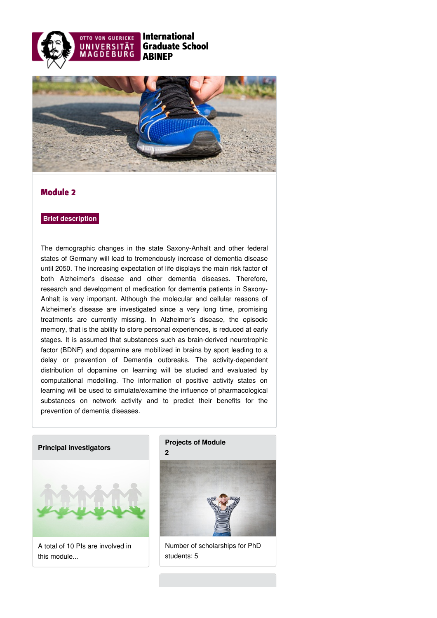



## Module 2

### **Brief description**

The demographic changes in the state Saxony-Anhalt and other federal states of Germany will lead to tremendously increase of dementia disease until 2050. The increasing expectation of life displays the main risk factor of both Alzheimer's disease and other dementia diseases. Therefore, research and development of medication for dementia patients in Saxony-Anhalt is very important. Although the molecular and cellular reasons of Alzheimer's disease are investigated since a very long time, promising treatments are currently missing. In Alzheimer's disease, the episodic memory, that is the ability to store personal experiences, is reduced at early stages. It is assumed that substances such as brain-derived neurotrophic factor (BDNF) and dopamine are mobilized in brains by sport leading to a delay or prevention of Dementia outbreaks. The activity-dependent distribution of dopamine on learning will be studied and evaluated by computational modelling. The information of positive activity states on learning will be used to simulate/examine the influence of pharmacological substances on network activity and to predict their benefits for the prevention of dementia diseases.

### **Principal [investigators](https://www.abinep.ovgu.de/Module+2/Principal+investigators.html)**



A total of 10 PIs are involved in this module...

### **[Projects](https://www.abinep.ovgu.de/Module+2/Projects+of+Module+2.html) of Module 2**



Number of scholarships for PhD students: 5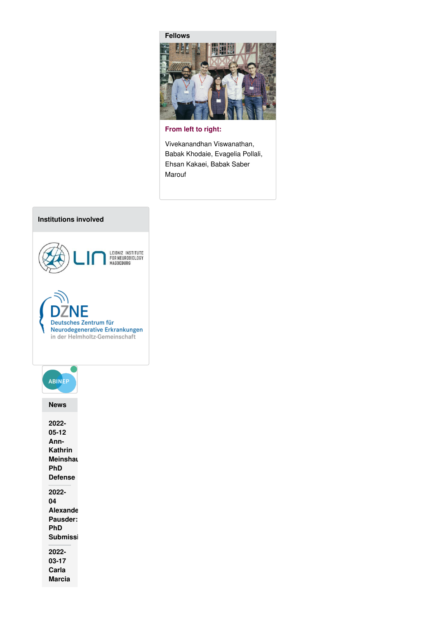



**From left to right:**

Vivekanandhan Viswanathan, Babak Khodaie, Evagelia Pollali, Ehsan Kakaei, Babak Saber Marouf

# **Institutions involved**



| <b>ABINEP</b>                                                       |
|---------------------------------------------------------------------|
| News                                                                |
| 2022-<br>$05 - 12$<br>Ann-<br>Kathrin<br>Meinshaı<br>PhD<br>Defense |
| 2022-<br>04<br>Alexande<br>Pausder:<br>PhD<br><b>Submissi</b>       |
| 2022-<br>03-17<br>Carla<br>Marcia                                   |